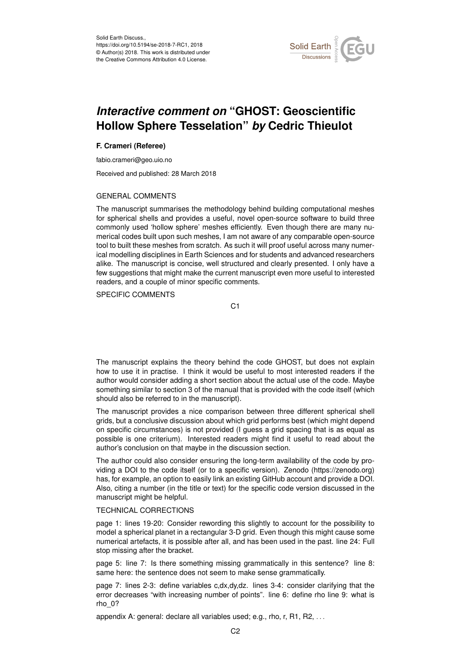

## *Interactive comment on* **"GHOST: Geoscientific Hollow Sphere Tesselation"** *by* **Cedric Thieulot**

## **F. Crameri (Referee)**

fabio.crameri@geo.uio.no

Received and published: 28 March 2018

## GENERAL COMMENTS

The manuscript summarises the methodology behind building computational meshes for spherical shells and provides a useful, novel open-source software to build three commonly used 'hollow sphere' meshes efficiently. Even though there are many numerical codes built upon such meshes, I am not aware of any comparable open-source tool to built these meshes from scratch. As such it will proof useful across many numerical modelling disciplines in Earth Sciences and for students and advanced researchers alike. The manuscript is concise, well structured and clearly presented. I only have a few suggestions that might make the current manuscript even more useful to interested readers, and a couple of minor specific comments.

SPECIFIC COMMENTS

C<sub>1</sub>

The manuscript explains the theory behind the code GHOST, but does not explain how to use it in practise. I think it would be useful to most interested readers if the author would consider adding a short section about the actual use of the code. Maybe something similar to section 3 of the manual that is provided with the code itself (which should also be referred to in the manuscript).

The manuscript provides a nice comparison between three different spherical shell grids, but a conclusive discussion about which grid performs best (which might depend on specific circumstances) is not provided (I guess a grid spacing that is as equal as possible is one criterium). Interested readers might find it useful to read about the author's conclusion on that maybe in the discussion section.

The author could also consider ensuring the long-term availability of the code by providing a DOI to the code itself (or to a specific version). Zenodo (https://zenodo.org) has, for example, an option to easily link an existing GitHub account and provide a DOI. Also, citing a number (in the title or text) for the specific code version discussed in the manuscript might be helpful.

## TECHNICAL CORRECTIONS

page 1: lines 19-20: Consider rewording this slightly to account for the possibility to model a spherical planet in a rectangular 3-D grid. Even though this might cause some numerical artefacts, it is possible after all, and has been used in the past. line 24: Full stop missing after the bracket.

page 5: line 7: Is there something missing grammatically in this sentence? line 8: same here: the sentence does not seem to make sense grammatically.

page 7: lines 2-3: define variables c,dx,dy,dz. lines 3-4: consider clarifying that the error decreases "with increasing number of points". line 6: define rho line 9: what is rho\_0?

appendix A: general: declare all variables used; e.g., rho, r, R1, R2, . . .